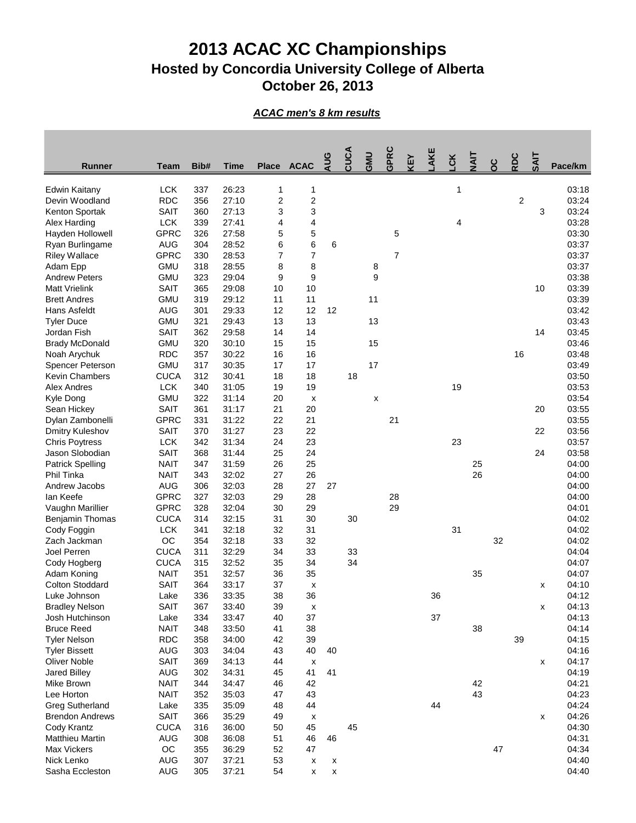## **2013 ACAC XC Championships Hosted by Concordia University College of Alberta October 26, 2013**

## *ACAC men's 8 km results*

|                                           |             |      |             |        |                           | AUG | CUCA | GMU | GPRC           | <b>AEY</b> | AKE | čK | ZΙΑ |     | RDC            | <b>SAIT</b>        |         |
|-------------------------------------------|-------------|------|-------------|--------|---------------------------|-----|------|-----|----------------|------------|-----|----|-----|-----|----------------|--------------------|---------|
| <b>Runner</b>                             | <b>Team</b> | Bib# | <b>Time</b> |        | Place ACAC                |     |      |     |                |            |     |    |     | ပ္ဂ |                |                    | Pace/km |
| <b>Edwin Kaitany</b>                      | <b>LCK</b>  | 337  | 26:23       |        | 1                         |     |      |     |                |            |     | 1  |     |     |                |                    | 03:18   |
| Devin Woodland                            | <b>RDC</b>  | 356  | 27:10       | 1<br>2 | $\overline{c}$            |     |      |     |                |            |     |    |     |     | $\overline{2}$ |                    | 03:24   |
| Kenton Sportak                            | <b>SAIT</b> | 360  | 27:13       | 3      | 3                         |     |      |     |                |            |     |    |     |     |                | 3                  | 03:24   |
| Alex Harding                              | <b>LCK</b>  | 339  | 27:41       | 4      | 4                         |     |      |     |                |            |     | 4  |     |     |                |                    | 03:28   |
| Hayden Hollowell                          | <b>GPRC</b> | 326  | 27:58       |        | $\,$ 5 $\,$               |     |      |     | 5              |            |     |    |     |     |                |                    | 03:30   |
|                                           | <b>AUG</b>  | 304  | 28:52       | 5<br>6 | 6                         | 6   |      |     |                |            |     |    |     |     |                |                    | 03:37   |
| Ryan Burlingame<br><b>Riley Wallace</b>   | <b>GPRC</b> | 330  | 28:53       | 7      | $\overline{7}$            |     |      |     | $\overline{7}$ |            |     |    |     |     |                |                    | 03:37   |
| Adam Epp                                  | <b>GMU</b>  | 318  | 28:55       | 8      | 8                         |     |      | 8   |                |            |     |    |     |     |                |                    | 03:37   |
| <b>Andrew Peters</b>                      | <b>GMU</b>  | 323  | 29:04       | 9      | 9                         |     |      | 9   |                |            |     |    |     |     |                |                    | 03:38   |
| <b>Matt Vrielink</b>                      | <b>SAIT</b> | 365  | 29:08       | 10     | 10                        |     |      |     |                |            |     |    |     |     |                | 10                 | 03:39   |
| <b>Brett Andres</b>                       | <b>GMU</b>  | 319  | 29:12       | 11     | 11                        |     |      | 11  |                |            |     |    |     |     |                |                    | 03:39   |
| Hans Asfeldt                              | <b>AUG</b>  | 301  | 29:33       | 12     | 12                        | 12  |      |     |                |            |     |    |     |     |                |                    | 03:42   |
| <b>Tyler Duce</b>                         | <b>GMU</b>  | 321  | 29:43       | 13     | 13                        |     |      | 13  |                |            |     |    |     |     |                |                    | 03:43   |
| Jordan Fish                               | <b>SAIT</b> | 362  | 29:58       | 14     | 14                        |     |      |     |                |            |     |    |     |     |                | 14                 | 03:45   |
| <b>Brady McDonald</b>                     | <b>GMU</b>  | 320  | 30:10       | 15     | 15                        |     |      | 15  |                |            |     |    |     |     |                |                    | 03:46   |
|                                           | <b>RDC</b>  | 357  | 30:22       | 16     | 16                        |     |      |     |                |            |     |    |     |     | 16             |                    | 03:48   |
| Noah Arychuk                              | <b>GMU</b>  | 317  | 30:35       | 17     | 17                        |     |      | 17  |                |            |     |    |     |     |                |                    | 03:49   |
| Spencer Peterson<br><b>Kevin Chambers</b> | <b>CUCA</b> | 312  | 30:41       |        | 18                        |     | 18   |     |                |            |     |    |     |     |                |                    | 03:50   |
| <b>Alex Andres</b>                        | <b>LCK</b>  |      | 31:05       | 18     |                           |     |      |     |                |            |     | 19 |     |     |                |                    |         |
|                                           |             | 340  |             | 19     | 19                        |     |      |     |                |            |     |    |     |     |                |                    | 03:53   |
| Kyle Dong                                 | <b>GMU</b>  | 322  | 31:14       | 20     | X                         |     |      | X   |                |            |     |    |     |     |                |                    | 03:54   |
| Sean Hickey                               | <b>SAIT</b> | 361  | 31:17       | 21     | 20                        |     |      |     |                |            |     |    |     |     |                | 20                 | 03:55   |
| Dylan Zambonelli                          | <b>GPRC</b> | 331  | 31:22       | 22     | 21                        |     |      |     | 21             |            |     |    |     |     |                |                    | 03:55   |
| Dmitry Kuleshov                           | <b>SAIT</b> | 370  | 31:27       | 23     | 22                        |     |      |     |                |            |     |    |     |     |                | 22                 | 03:56   |
| <b>Chris Poytress</b>                     | <b>LCK</b>  | 342  | 31:34       | 24     | 23                        |     |      |     |                |            |     | 23 |     |     |                |                    | 03:57   |
| Jason Slobodian                           | <b>SAIT</b> | 368  | 31:44       | 25     | 24                        |     |      |     |                |            |     |    |     |     |                | 24                 | 03:58   |
| <b>Patrick Spelling</b>                   | <b>NAIT</b> | 347  | 31:59       | 26     | 25                        |     |      |     |                |            |     |    | 25  |     |                |                    | 04:00   |
| Phil Tinka                                | <b>NAIT</b> | 343  | 32:02       | 27     | 26                        |     |      |     |                |            |     |    | 26  |     |                |                    | 04:00   |
| Andrew Jacobs                             | <b>AUG</b>  | 306  | 32:03       | 28     | 27                        | 27  |      |     |                |            |     |    |     |     |                |                    | 04:00   |
| lan Keefe                                 | <b>GPRC</b> | 327  | 32:03       | 29     | 28                        |     |      |     | 28             |            |     |    |     |     |                |                    | 04:00   |
| Vaughn Marillier                          | <b>GPRC</b> | 328  | 32:04       | 30     | 29                        |     |      |     | 29             |            |     |    |     |     |                |                    | 04:01   |
| Benjamin Thomas                           | <b>CUCA</b> | 314  | 32:15       | 31     | 30                        |     | 30   |     |                |            |     |    |     |     |                |                    | 04:02   |
| Cody Foggin                               | <b>LCK</b>  | 341  | 32:18       | 32     | 31                        |     |      |     |                |            |     | 31 |     |     |                |                    | 04:02   |
| Zach Jackman                              | OC          | 354  | 32:18       | 33     | 32                        |     |      |     |                |            |     |    |     | 32  |                |                    | 04:02   |
| Joel Perren                               | <b>CUCA</b> | 311  | 32:29       | 34     | 33                        |     | 33   |     |                |            |     |    |     |     |                |                    | 04:04   |
| Cody Hogberg                              | <b>CUCA</b> | 315  | 32:52       | 35     | 34                        |     | 34   |     |                |            |     |    |     |     |                |                    | 04:07   |
| Adam Koning                               | <b>NAIT</b> | 351  | 32:57       | 36     | 35                        |     |      |     |                |            |     |    | 35  |     |                |                    | 04:07   |
| <b>Colton Stoddard</b>                    | <b>SAIT</b> | 364  | 33:17       | 37     | X                         |     |      |     |                |            |     |    |     |     |                | X                  | 04:10   |
| Luke Johnson                              | Lake        | 336  | 33:35       | 38     | 36                        |     |      |     |                |            | 36  |    |     |     |                |                    | 04:12   |
| <b>Bradley Nelson</b>                     | <b>SAIT</b> | 367  | 33:40       | 39     | $\pmb{\mathsf{x}}$        |     |      |     |                |            |     |    |     |     |                | $\pmb{\mathsf{x}}$ | 04:13   |
| Josh Hutchinson                           | Lake        | 334  | 33:47       | 40     | 37                        |     |      |     |                |            | 37  |    |     |     |                |                    | 04:13   |
| <b>Bruce Reed</b>                         | <b>NAIT</b> | 348  | 33:50       | 41     | 38                        |     |      |     |                |            |     |    | 38  |     |                |                    | 04:14   |
| <b>Tyler Nelson</b>                       | <b>RDC</b>  | 358  | 34:00       | 42     | 39                        |     |      |     |                |            |     |    |     |     | 39             |                    | 04:15   |
| <b>Tyler Bissett</b>                      | <b>AUG</b>  | 303  | 34:04       | 43     | 40                        | 40  |      |     |                |            |     |    |     |     |                |                    | 04:16   |
| <b>Oliver Noble</b>                       | <b>SAIT</b> | 369  | 34:13       | 44     | $\boldsymbol{\mathsf{x}}$ |     |      |     |                |            |     |    |     |     |                | x                  | 04:17   |
| <b>Jared Billey</b>                       | <b>AUG</b>  | 302  | 34:31       | 45     | 41                        | 41  |      |     |                |            |     |    |     |     |                |                    | 04:19   |
| Mike Brown                                | <b>NAIT</b> | 344  | 34:47       | 46     | 42                        |     |      |     |                |            |     |    | 42  |     |                |                    | 04:21   |
| Lee Horton                                | <b>NAIT</b> | 352  | 35:03       | 47     | 43                        |     |      |     |                |            |     |    | 43  |     |                |                    | 04:23   |
| <b>Greg Sutherland</b>                    | Lake        | 335  | 35:09       | 48     | 44                        |     |      |     |                |            | 44  |    |     |     |                |                    | 04:24   |
| <b>Brendon Andrews</b>                    | <b>SAIT</b> | 366  | 35:29       | 49     | X                         |     |      |     |                |            |     |    |     |     |                | X                  | 04:26   |
| Cody Krantz                               | <b>CUCA</b> | 316  | 36:00       | 50     | 45                        |     | 45   |     |                |            |     |    |     |     |                |                    | 04:30   |
| <b>Matthieu Martin</b>                    | <b>AUG</b>  | 308  | 36:08       | 51     | 46                        | 46  |      |     |                |            |     |    |     |     |                |                    | 04:31   |
| Max Vickers                               | OC          | 355  | 36:29       | 52     | 47                        |     |      |     |                |            |     |    |     | 47  |                |                    | 04:34   |
| Nick Lenko                                | <b>AUG</b>  | 307  | 37:21       | 53     | X                         | X   |      |     |                |            |     |    |     |     |                |                    | 04:40   |
| Sasha Eccleston                           | <b>AUG</b>  | 305  | 37:21       | 54     | X                         | X   |      |     |                |            |     |    |     |     |                |                    | 04:40   |